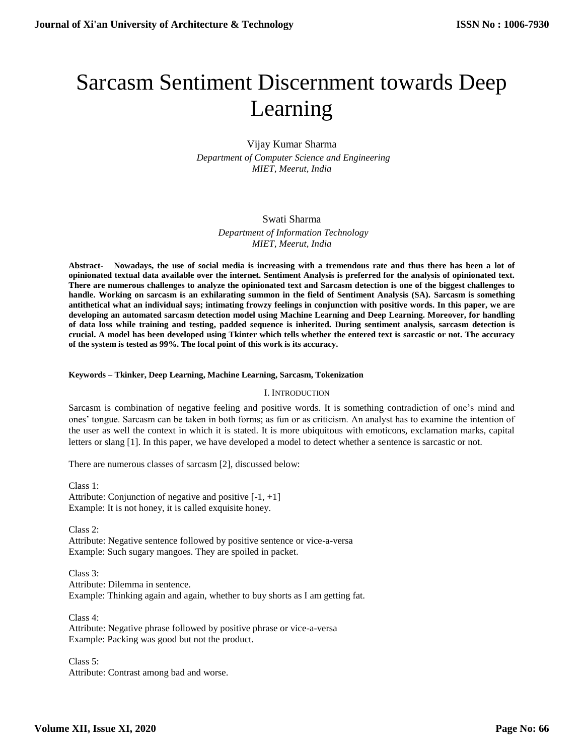# Sarcasm Sentiment Discernment towards Deep Learning

# Vijay Kumar Sharma  *Department of Computer Science and Engineering MIET, Meerut, India*

## Swati Sharma

 *Department of Information Technology MIET, Meerut, India*

**Abstract- Nowadays, the use of social media is increasing with a tremendous rate and thus there has been a lot of opinionated textual data available over the internet. Sentiment Analysis is preferred for the analysis of opinionated text. There are numerous challenges to analyze the opinionated text and Sarcasm detection is one of the biggest challenges to handle. Working on sarcasm is an exhilarating summon in the field of Sentiment Analysis (SA). Sarcasm is something antithetical what an individual says; intimating frowzy feelings in conjunction with positive words. In this paper, we are developing an automated sarcasm detection model using Machine Learning and Deep Learning. Moreover, for handling of data loss while training and testing, padded sequence is inherited. During sentiment analysis, sarcasm detection is crucial. A model has been developed using Tkinter which tells whether the entered text is sarcastic or not. The accuracy of the system is tested as 99%. The focal point of this work is its accuracy.**

## **Keywords – Tkinker, Deep Learning, Machine Learning, Sarcasm, Tokenization**

#### I. INTRODUCTION

Sarcasm is combination of negative feeling and positive words. It is something contradiction of one's mind and ones' tongue. Sarcasm can be taken in both forms; as fun or as criticism. An analyst has to examine the intention of the user as well the context in which it is stated. It is more ubiquitous with emoticons, exclamation marks, capital letters or slang [1]. In this paper, we have developed a model to detect whether a sentence is sarcastic or not.

There are numerous classes of sarcasm [2], discussed below:

Class 1: Attribute: Conjunction of negative and positive  $[-1, +1]$ Example: It is not honey, it is called exquisite honey.

Class 2: Attribute: Negative sentence followed by positive sentence or vice-a-versa Example: Such sugary mangoes. They are spoiled in packet.

Class 3: Attribute: Dilemma in sentence. Example: Thinking again and again, whether to buy shorts as I am getting fat.

Class 4: Attribute: Negative phrase followed by positive phrase or vice-a-versa Example: Packing was good but not the product.

Class 5: Attribute: Contrast among bad and worse.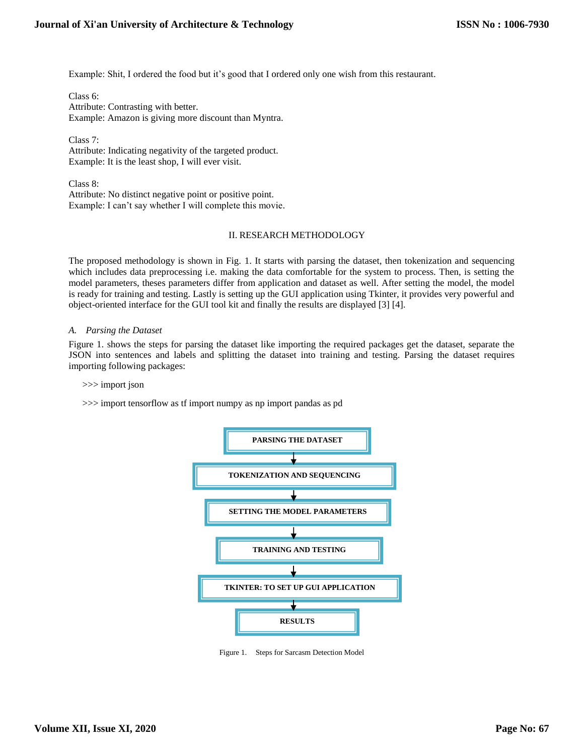Example: Shit, I ordered the food but it's good that I ordered only one wish from this restaurant.

Class 6: Attribute: Contrasting with better. Example: Amazon is giving more discount than Myntra.

Class 7:

Attribute: Indicating negativity of the targeted product. Example: It is the least shop, I will ever visit.

Class 8: Attribute: No distinct negative point or positive point. Example: I can't say whether I will complete this movie.

## II. RESEARCH METHODOLOGY

The proposed methodology is shown in Fig. 1. It starts with parsing the dataset, then tokenization and sequencing which includes data preprocessing i.e. making the data comfortable for the system to process. Then, is setting the model parameters, theses parameters differ from application and dataset as well. After setting the model, the model is ready for training and testing. Lastly is setting up the GUI application using Tkinter, it provides very powerful and object-oriented interface for the GUI tool kit and finally the results are displayed [3] [4].

## *A. Parsing the Dataset*

Figure 1. shows the steps for parsing the dataset like importing the required packages get the dataset, separate the JSON into sentences and labels and splitting the dataset into training and testing. Parsing the dataset requires importing following packages:

#### >>> import json

>>> import tensorflow as tf import numpy as np import pandas as pd



Figure 1. Steps for Sarcasm Detection Model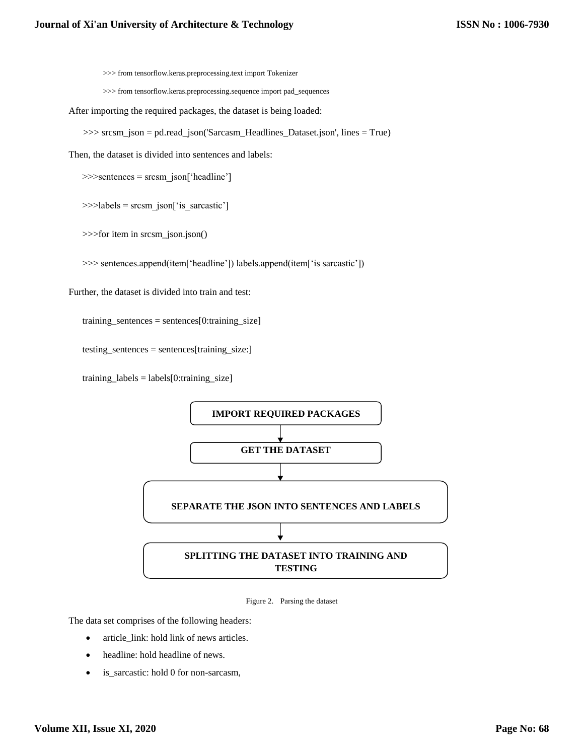>>> from tensorflow.keras.preprocessing.text import Tokenizer

>>> from tensorflow.keras.preprocessing.sequence import pad\_sequences

After importing the required packages, the dataset is being loaded:

>>> srcsm\_json = pd.read\_json('Sarcasm\_Headlines\_Dataset.json', lines = True)

Then, the dataset is divided into sentences and labels:

>>>sentences = srcsm\_json['headline']

>>>labels = srcsm\_json['is\_sarcastic']

>>>for item in srcsm\_json.json()

>>> sentences.append(item['headline']) labels.append(item['is sarcastic'])

Further, the dataset is divided into train and test:

training\_sentences = sentences[0:training\_size]

testing\_sentences = sentences[training\_size:]

 $training\_labels = labels[0:training\_size]$ 



Figure 2. Parsing the dataset

The data set comprises of the following headers:

- article\_link: hold link of news articles.
- headline: hold headline of news.
- is\_sarcastic: hold 0 for non-sarcasm,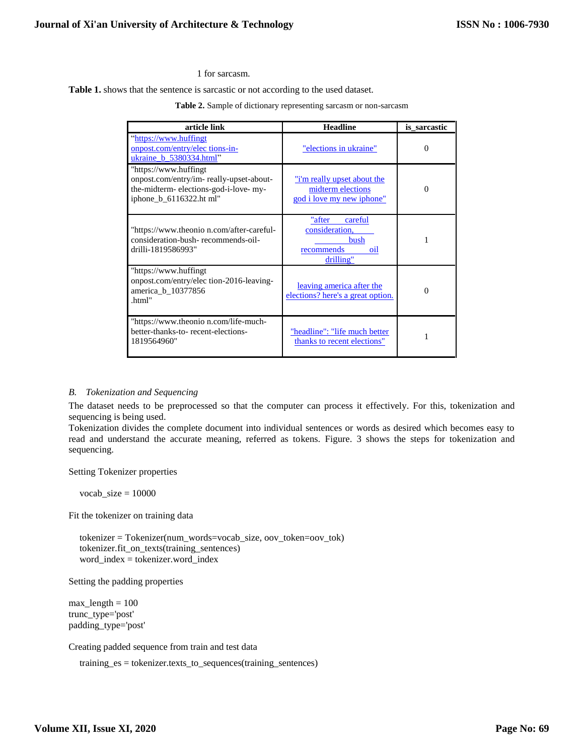1 for sarcasm.

**Table 1.** shows that the sentence is sarcastic or not according to the used dataset.

**Table 2.** Sample of dictionary representing sarcasm or non-sarcasm

| article link                                                                                                                        | <b>Headline</b>                                                               | is sarcastic |
|-------------------------------------------------------------------------------------------------------------------------------------|-------------------------------------------------------------------------------|--------------|
| "https://www.huffingt<br>onpost.com/entry/elec tions-in-<br>ukraine b 5380334.html"                                                 | "elections in ukraine"                                                        | $\Omega$     |
| "https://www.huffingt<br>onpost.com/entry/im-really-upset-about-<br>the-midterm-elections-god-i-love-my-<br>iphone_b_6116322.ht ml" | "i'm really upset about the<br>midterm elections<br>god i love my new iphone" | $\Omega$     |
| "https://www.theonio n.com/after-careful-<br>consideration-bush-recommends-oil-<br>drilli-1819586993"                               | "after<br>careful<br>consideration,<br>bush<br>recommends<br>oil<br>drilling" |              |
| "https://www.huffingt<br>onpost.com/entry/elec tion-2016-leaving-<br>america_b_10377856<br>.html"                                   | leaving america after the<br>elections? here's a great option.                | $\Omega$     |
| "https://www.theonio n.com/life-much-<br>better-thanks-to-recent-elections-<br>1819564960"                                          | "headline": "life much better<br>thanks to recent elections"                  |              |

#### *B. Tokenization and Sequencing*

The dataset needs to be preprocessed so that the computer can process it effectively. For this, tokenization and sequencing is being used.

Tokenization divides the complete document into individual sentences or words as desired which becomes easy to read and understand the accurate meaning, referred as tokens. Figure. 3 shows the steps for tokenization and sequencing.

Setting Tokenizer properties

 $vocab_size = 10000$ 

Fit the tokenizer on training data

tokenizer = Tokenizer(num\_words=vocab\_size, oov\_token=oov\_tok) tokenizer.fit\_on\_texts(training\_sentences) word\_index = tokenizer.word\_index

Setting the padding properties

 $max_length = 100$ trunc\_type='post' padding\_type='post'

Creating padded sequence from train and test data

training\_es = tokenizer.texts\_to\_sequences(training\_sentences)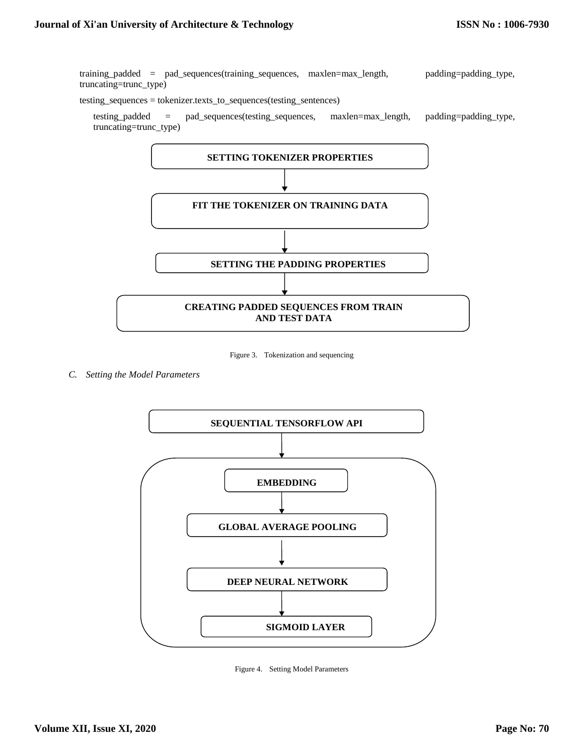training\_padded = pad\_sequences(training\_sequences, maxlen=max\_length, padding=padding\_type, truncating=trunc\_type)

testing\_sequences = tokenizer.texts\_to\_sequences(testing\_sentences)

testing\_padded = pad\_sequences(testing\_sequences, maxlen=max\_length, padding=padding\_type, truncating=trunc\_type)



Figure 3. Tokenization and sequencing

*C. Setting the Model Parameters* 



Figure 4. Setting Model Parameters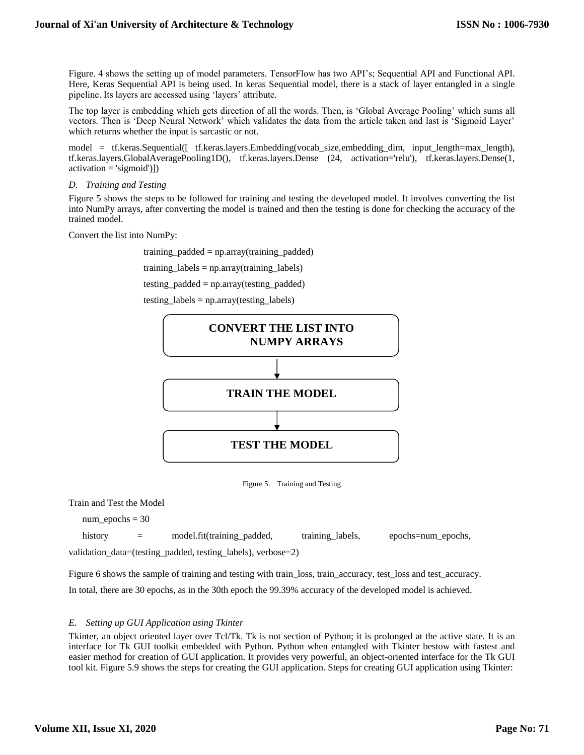Figure. 4 shows the setting up of model parameters. TensorFlow has two API's; Sequential API and Functional API. Here, Keras Sequential API is being used. In keras Sequential model, there is a stack of layer entangled in a single pipeline. Its layers are accessed using 'layers' attribute.

The top layer is embedding which gets direction of all the words. Then, is 'Global Average Pooling' which sums all vectors. Then is 'Deep Neural Network' which validates the data from the article taken and last is 'Sigmoid Layer' which returns whether the input is sarcastic or not.

model = tf.keras.Sequential([ tf.keras.layers.Embedding(vocab size,embedding dim, input length=max length), tf.keras.layers.GlobalAveragePooling1D(), tf.keras.layers.Dense (24, activation='relu'), tf.keras.layers.Dense(1, activation = 'sigmoid')])

#### *D. Training and Testing*

Figure 5 shows the steps to be followed for training and testing the developed model. It involves converting the list into NumPy arrays, after converting the model is trained and then the testing is done for checking the accuracy of the trained model.

Convert the list into NumPy:

training\_padded = np.array(training\_padded) training\_labels =  $np.array(training_labels)$ testing\_padded = np.array(testing\_padded) testing\_labels = np.array(testing\_labels)



Figure 5. Training and Testing

Train and Test the Model

 $num\_epochs = 30$ 

history = model.fit(training\_padded, training\_labels, epochs=num\_epochs,

validation\_data=(testing\_padded, testing\_labels), verbose=2)

Figure 6 shows the sample of training and testing with train\_loss, train\_accuracy, test\_loss and test\_accuracy.

In total, there are 30 epochs, as in the 30th epoch the 99.39% accuracy of the developed model is achieved.

#### *E. Setting up GUI Application using Tkinter*

Tkinter, an object oriented layer over Tcl/Tk. Tk is not section of Python; it is prolonged at the active state. It is an interface for Tk GUI toolkit embedded with Python. Python when entangled with Tkinter bestow with fastest and easier method for creation of GUI application. It provides very powerful, an object-oriented interface for the Tk GUI tool kit. Figure 5.9 shows the steps for creating the GUI application. Steps for creating GUI application using Tkinter: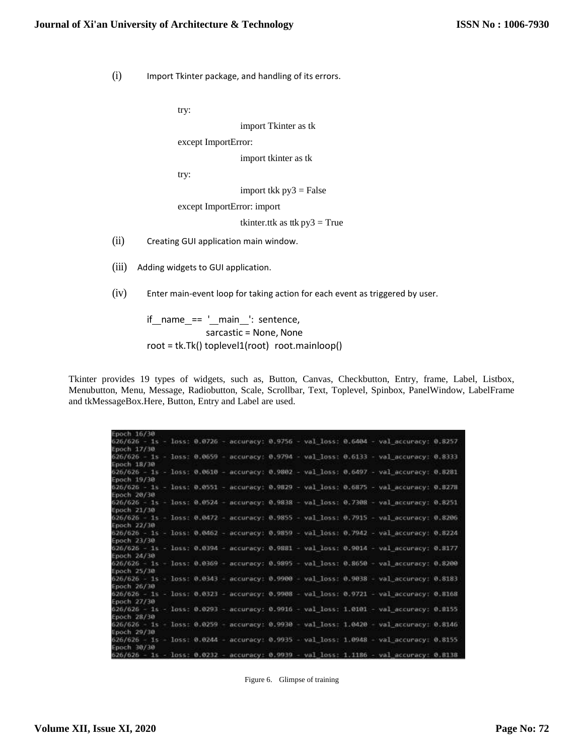(i) Import Tkinter package, and handling of its errors.

try:

import Tkinter as tk

except ImportError:

import tkinter as tk

try:

import tkk  $py3 = False$ 

except ImportError: import

tkinter.ttk as ttk  $py3 = True$ 

- (ii) Creating GUI application main window.
- (iii) Adding widgets to GUI application.
- (iv) Enter main-event loop for taking action for each event as triggered by user.

if name == ' main ': sentence, sarcastic = None, None root = tk.Tk() toplevel1(root) root.mainloop()

Tkinter provides 19 types of widgets, such as, Button, Canvas, Checkbutton, Entry, frame, Label, Listbox, Menubutton, Menu, Message, Radiobutton, Scale, Scrollbar, Text, Toplevel, Spinbox, PanelWindow, LabelFrame and tkMessageBox.Here, Button, Entry and Label are used.

| Epoch 16/30 |  |  |  |                                                                                          |  |
|-------------|--|--|--|------------------------------------------------------------------------------------------|--|
| Epoch 17/30 |  |  |  | 626/626 - 1s - loss: 0.0726 - accuracy: 0.9756 - val loss: 0.6404 - val accuracy: 0.8257 |  |
| Epoch 18/30 |  |  |  | 626/626 - 1s - loss: 0.0659 - accuracy: 0.9794 - val loss: 0.6133 - val accuracy: 0.8333 |  |
| Epoch 19/30 |  |  |  | 626/626 - 1s - loss: 0.0610 - accuracy: 0.9802 - val loss: 0.6497 - val accuracy: 0.8281 |  |
| Epoch 20/30 |  |  |  | 626/626 - 1s - loss: 0.0551 - accuracy: 0.9829 - val loss: 0.6875 - val accuracy: 0.8278 |  |
| Epoch 21/30 |  |  |  | 626/626 - 1s - loss: 0.0524 - accuracy: 0.9838 - val loss: 0.7308 - val accuracy: 0.8251 |  |
| Epoch 22/30 |  |  |  | 626/626 - 1s - loss: 0.0472 - accuracy: 0.9855 - val loss: 0.7915 - val accuracy: 0.8206 |  |
| Epoch 23/30 |  |  |  | 626/626 - 1s - loss: 0.0462 - accuracy: 0.9859 - val loss: 0.7942 - val accuracy: 0.8224 |  |
| Epoch 24/30 |  |  |  | 626/626 - 1s - loss: 0.0394 - accuracy: 0.9881 - val loss: 0.9014 - val accuracy: 0.8177 |  |
| Epoch 25/30 |  |  |  | 626/626 - 1s - loss: 0.0369 - accuracy: 0.9895 - val loss: 0.8650 - val accuracy: 0.8200 |  |
| Epoch 26/38 |  |  |  | 626/626 - 1s - loss: 0.0343 - accuracy: 0.9900 - val loss: 0.9038 - val accuracy: 0.8183 |  |
| Epoch 27/30 |  |  |  | 626/626 - 1s - loss: 0.0323 - accuracy: 0.9908 - val loss: 0.9721 - val accuracy: 0.8168 |  |
| Epoch 28/30 |  |  |  | 626/626 - 1s - loss: 0.0293 - accuracy: 0.9916 - val loss: 1.0101 - val accuracy: 0.8155 |  |
| Epoch 29/30 |  |  |  | 626/626 - 1s - loss: 0.0259 - accuracy: 0.9930 - val loss: 1.0420 - val accuracy: 0.8146 |  |
| Epoch 30/30 |  |  |  | 626/626 - 1s - loss: 0.0244 - accuracy: 0.9935 - val loss: 1.0948 - val accuracy: 0.8155 |  |
|             |  |  |  | 626/626 - 1s - loss: 0.0232 - accuracy: 0.9939 - val loss: 1.1186 - val accuracy: 0.8138 |  |

Figure 6. Glimpse of training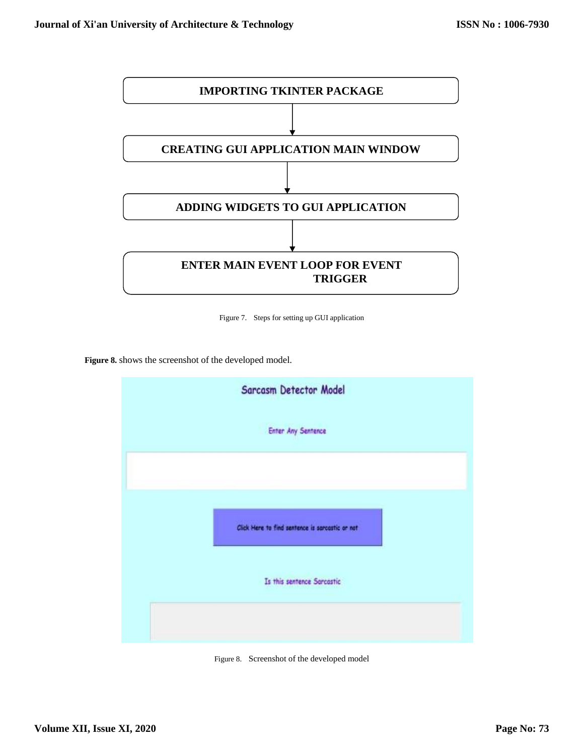

Figure 7. Steps for setting up GUI application

**Figure 8.** shows the screenshot of the developed model.



Figure 8. Screenshot of the developed model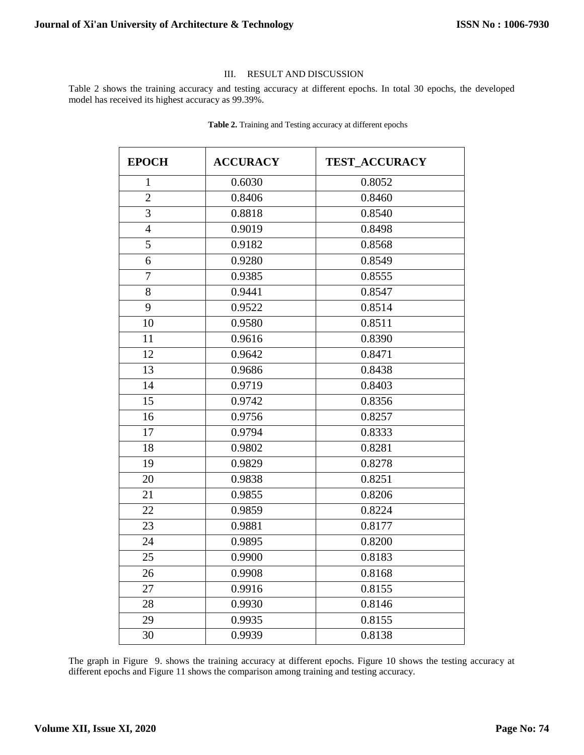## III. RESULT AND DISCUSSION

Table 2 shows the training accuracy and testing accuracy at different epochs. In total 30 epochs, the developed model has received its highest accuracy as 99.39%.

| <b>EPOCH</b>   | <b>ACCURACY</b> | <b>TEST_ACCURACY</b> |
|----------------|-----------------|----------------------|
| $\mathbf{1}$   | 0.6030          | 0.8052               |
| $\overline{2}$ | 0.8406          | 0.8460               |
| 3              | 0.8818          | 0.8540               |
| $\overline{4}$ | 0.9019          | 0.8498               |
| 5              | 0.9182          | 0.8568               |
| 6              | 0.9280          | 0.8549               |
| 7              | 0.9385          | 0.8555               |
| 8              | 0.9441          | 0.8547               |
| 9              | 0.9522          | 0.8514               |
| 10             | 0.9580          | 0.8511               |
| 11             | 0.9616          | 0.8390               |
| 12             | 0.9642          | 0.8471               |
| 13             | 0.9686          | 0.8438               |
| 14             | 0.9719          | 0.8403               |
| 15             | 0.9742          | 0.8356               |
| 16             | 0.9756          | 0.8257               |
| 17             | 0.9794          | 0.8333               |
| 18             | 0.9802          | 0.8281               |
| 19             | 0.9829          | 0.8278               |
| 20             | 0.9838          | 0.8251               |
| 21             | 0.9855          | 0.8206               |
| 22             | 0.9859          | 0.8224               |
| 23             | 0.9881          | 0.8177               |
| 24             | 0.9895          | 0.8200               |
| 25             | 0.9900          | 0.8183               |
| 26             | 0.9908          | 0.8168               |
| 27             | 0.9916          | 0.8155               |
| 28             | 0.9930          | 0.8146               |
| 29             | 0.9935          | 0.8155               |
| 30             | 0.9939          | 0.8138               |

**Table 2.** Training and Testing accuracy at different epochs

The graph in Figure 9. shows the training accuracy at different epochs. Figure 10 shows the testing accuracy at different epochs and Figure 11 shows the comparison among training and testing accuracy.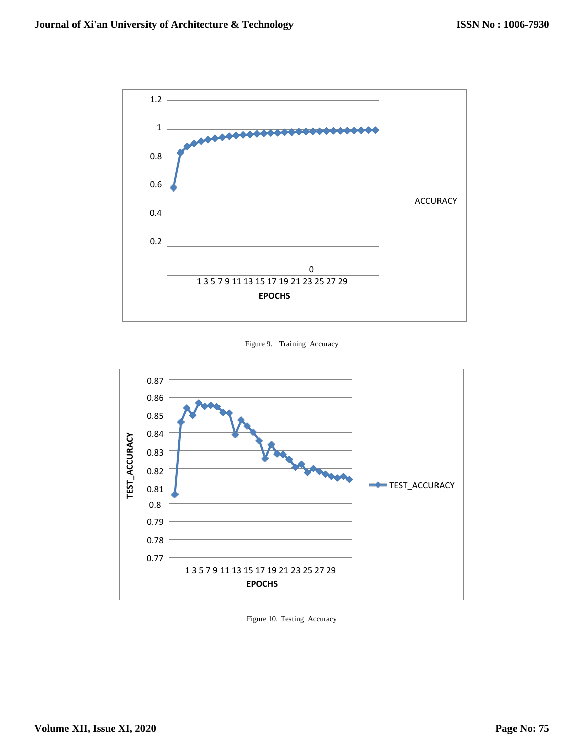

Figure 9. Training\_Accuracy



Figure 10. Testing\_Accuracy